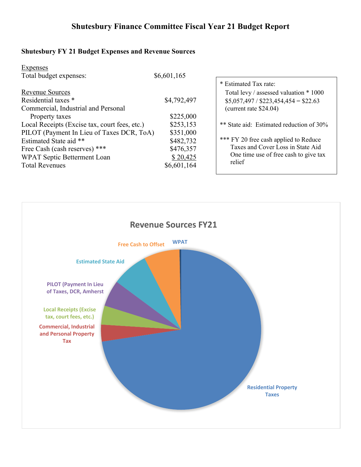# **Shutesbury FY 21 Budget Expenses and Revenue Sources**

| <b>Expenses</b>                               |             |                                          |
|-----------------------------------------------|-------------|------------------------------------------|
| Total budget expenses:                        | \$6,601,165 |                                          |
|                                               |             | * Estimated Tax rate:                    |
| <b>Revenue Sources</b>                        |             | Total levy / assessed valuation * 1000   |
| Residential taxes *                           | \$4,792,497 | $$5,057,497 / $223,454,454 = $22.63$     |
| Commercial, Industrial and Personal           |             | (current rate $$24.04$ )                 |
| Property taxes                                | \$225,000   |                                          |
| Local Receipts (Excise tax, court fees, etc.) | \$253,153   | ** State aid: Estimated reduction of 30% |
| PILOT (Payment In Lieu of Taxes DCR, ToA)     | \$351,000   |                                          |
| Estimated State aid **                        | \$482,732   | *** FY 20 free cash applied to Reduce    |
| Free Cash (cash reserves) ***                 | \$476,357   | Taxes and Cover Loss in State Aid        |
| WPAT Septic Betterment Loan                   | \$20,425    | One time use of free cash to give tax    |
| <b>Total Revenues</b>                         | \$6,601,164 | relief                                   |
|                                               |             |                                          |

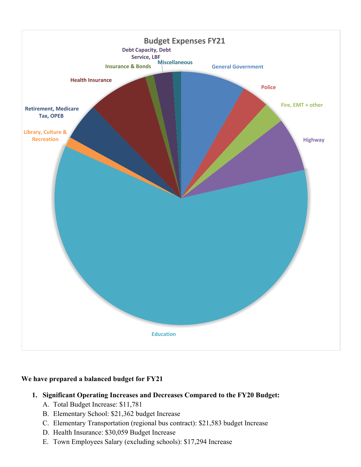

## **We have prepared a balanced budget for FY21**

## **1. Significant Operating Increases and Decreases Compared to the FY20 Budget:**

- A. Total Budget Increase: \$11,781
- B. Elementary School: \$21,362 budget Increase
- C. Elementary Transportation (regional bus contract): \$21,583 budget Increase
- D. Health Insurance: \$30,059 Budget Increase
- E. Town Employees Salary (excluding schools): \$17,294 Increase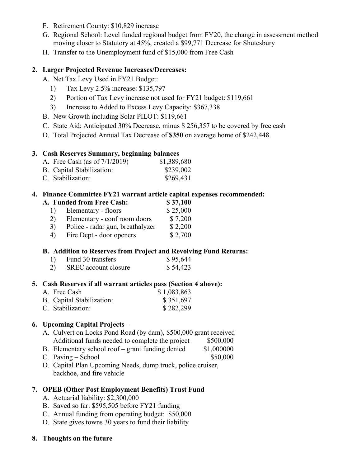- F. Retirement County: \$10,829 increase
- G. Regional School: Level funded regional budget from FY20, the change in assessment method moving closer to Statutory at 45%, created a \$99,771 Decrease for Shutesbury
- H. Transfer to the Unemployment fund of \$15,000 from Free Cash

## **2. Larger Projected Revenue Increases/Decreases:**

A. Net Tax Levy Used in FY21 Budget:

- 1) Tax Levy 2.5% increase: \$135,797
- 2) Portion of Tax Levy increase not used for FY21 budget: \$119,661
- 3) Increase to Added to Excess Levy Capacity: \$367,338
- B. New Growth including Solar PILOT: \$119,661
- C. State Aid: Anticipated 30% Decrease, minus \$ 256,357 to be covered by free cash
- D. Total Projected Annual Tax Decrease of **\$350** on average home of \$242,448.

## **3. Cash Reserves Summary, beginning balances**

- A. Free Cash (as of  $7/1/2019$ ) \$1,389,680
- B. Capital Stabilization: \$239,002
- C. Stabilization: \$269,431

## **4. Finance Committee FY21 warrant article capital expenses recommended:**

- **A. Funded from Free Cash: \$ 37,100**
	- 1) Elementary floors \$ 25,000 2) Elementary - conf room doors \$ 7,200
	- 3) Police radar gun, breathalyzer \$ 2,200
	- 4) Fire Dept door openers \$ 2,700
	-

## **B. Addition to Reserves from Project and Revolving Fund Returns:**

- 1) Fund 30 transfers \$ 95,644
- 2) SREC account closure \$ 54,423

## **5. Cash Reserves if all warrant articles pass (Section 4 above):**

A. Free Cash \$ 1,083,863 B. Capital Stabilization: \$ 351,697 C. Stabilization: \$282,299

## **6. Upcoming Capital Projects –**

- A. Culvert on Locks Pond Road (by dam), \$500,000 grant received Additional funds needed to complete the project \$500,000
- B. Elementary school roof grant funding denied \$1,000000
- $C.$  Paving School  $$50,000$
- D. Capital Plan Upcoming Needs, dump truck, police cruiser, backhoe, and fire vehicle

## **7. OPEB (Other Post Employment Benefits) Trust Fund**

- A. Actuarial liability: \$2,300,000
- B. Saved so far: \$595,505 before FY21 funding
- C. Annual funding from operating budget: \$50,000
- D. State gives towns 30 years to fund their liability
- **8. Thoughts on the future**